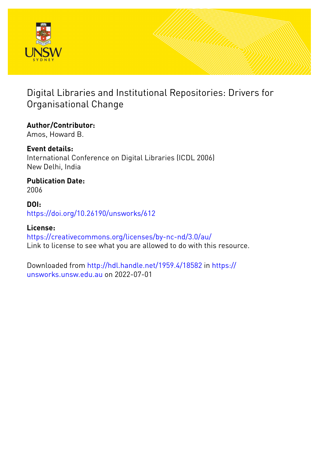

# Digital Libraries and Institutional Repositories: Drivers for Organisational Change

### **Author/Contributor:**

Amos, Howard B.

### **Event details:**

International Conference on Digital Libraries (ICDL 2006) New Delhi, India

# **Publication Date:**

2006

### **DOI:**

[https://doi.org/10.26190/unsworks/612](http://dx.doi.org/https://doi.org/10.26190/unsworks/612)

### **License:**

<https://creativecommons.org/licenses/by-nc-nd/3.0/au/> Link to license to see what you are allowed to do with this resource.

Downloaded from <http://hdl.handle.net/1959.4/18582> in [https://](https://unsworks.unsw.edu.au) [unsworks.unsw.edu.au](https://unsworks.unsw.edu.au) on 2022-07-01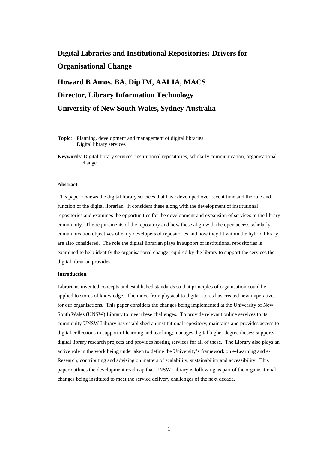### **Digital Libraries and Institutional Repositories: Drivers for Organisational Change**

## **Howard B Amos. BA, Dip IM, AALIA, MACS Director, Library Information Technology University of New South Wales, Sydney Australia**

**Topic**: Planning, development and management of digital libraries Digital library services

**Keywords**: Digital library services, institutional repositories, scholarly communication, organisational change

#### **Abstract**

This paper reviews the digital library services that have developed over recent time and the role and function of the digital librarian. It considers these along with the development of institutional repositories and examines the opportunities for the development and expansion of services to the library community. The requirements of the repository and how these align with the open access scholarly communication objectives of early developers of repositories and how they fit within the hybrid library are also considered. The role the digital librarian plays in support of institutional repositories is examined to help identify the organisational change required by the library to support the services the digital librarian provides.

#### **Introduction**

Librarians invented concepts and established standards so that principles of organisation could be applied to stores of knowledge. The move from physical to digital stores has created new imperatives for our organisations. This paper considers the changes being implemented at the University of New South Wales (UNSW) Library to meet these challenges. To provide relevant online services to its community UNSW Library has established an institutional repository; maintains and provides access to digital collections in support of learning and teaching; manages digital higher degree theses; supports digital library research projects and provides hosting services for all of these. The Library also plays an active role in the work being undertaken to define the University's framework on e-Learning and e-Research; contributing and advising on matters of scalability, sustainability and accessibility. This paper outlines the development roadmap that UNSW Library is following as part of the organisational changes being instituted to meet the service delivery challenges of the next decade.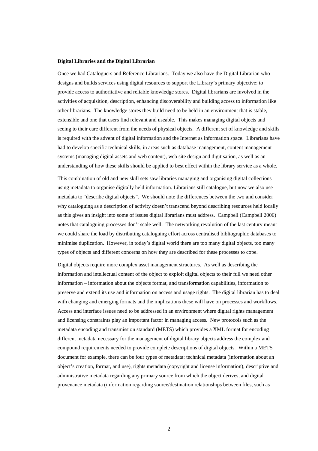#### **Digital Libraries and the Digital Librarian**

Once we had Cataloguers and Reference Librarians. Today we also have the Digital Librarian who designs and builds services using digital resources to support the Library's primary objective: to provide access to authoritative and reliable knowledge stores. Digital librarians are involved in the activities of acquisition, description, enhancing discoverability and building access to information like other librarians. The knowledge stores they build need to be held in an environment that is stable, extensible and one that users find relevant and useable. This makes managing digital objects and seeing to their care different from the needs of physical objects. A different set of knowledge and skills is required with the advent of digital information and the Internet as information space. Librarians have had to develop specific technical skills, in areas such as database management, content management systems (managing digital assets and web content), web site design and digitisation, as well as an understanding of how these skills should be applied to best effect within the library service as a whole.

This combination of old and new skill sets saw libraries managing and organising digital collections using metadata to organise digitally held information. Librarians still catalogue, but now we also use metadata to "describe digital objects". We should note the differences between the two and consider why cataloguing as a description of activity doesn't transcend beyond describing resources held locally as this gives an insight into some of issues digital librarians must address. Campbell (Campbell 2006) notes that cataloguing processes don't scale well. The networking revolution of the last century meant we could share the load by distributing cataloguing effort across centralised bibliographic databases to minimise duplication. However, in today's digital world there are too many digital objects, too many types of objects and different concerns on how they are described for these processes to cope.

Digital objects require more complex asset management structures. As well as describing the information and intellectual content of the object to exploit digital objects to their full we need other information – information about the objects format, and transformation capabilities, information to preserve and extend its use and information on access and usage rights. The digital librarian has to deal with changing and emerging formats and the implications these will have on processes and workflows. Access and interface issues need to be addressed in an environment where digital rights management and licensing constraints play an important factor in managing access. New protocols such as the metadata encoding and transmission standard (METS) which provides a XML format for encoding different metadata necessary for the management of digital library objects address the complex and compound requirements needed to provide complete descriptions of digital objects. Within a METS document for example, there can be four types of metadata: technical metadata (information about an object's creation, format, and use), rights metadata (copyright and license information), descriptive and administrative metadata regarding any primary source from which the object derives, and digital provenance metadata (information regarding source/destination relationships between files, such as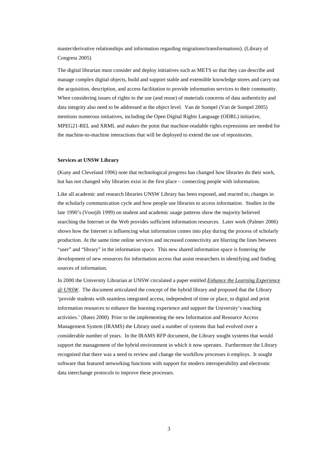master/derivative relationships and information regarding migrations/transformations). (Library of Congress 2005)

The digital librarian must consider and deploy initiatives such as METS so that they can describe and manage complex digital objects, build and support stable and extensible knowledge stores and carry out the acquisition, description, and access facilitation to provide information services to their community. When considering issues of rights to the use (and reuse) of materials concerns of data authenticity and data integrity also need to be addressed at the object level. Van de Sompel (Van de Sompel 2005) mentions numerous initiatives, including the Open Digital Rights Language (ODRL) initiative, MPEG21-REL and XRML and makes the point that machine-readable rights expressions are needed for the machine-to-machine interactions that will be deployed to extend the use of repositories.

#### **Services at UNSW Library**

(Kuny and Cleveland 1996) note that technological progress has changed how libraries do their work, but has not changed why libraries exist in the first place – connecting people with information.

Like all academic and research libraries UNSW Library has been exposed, and reacted to, changes in the scholarly communication cycle and how people use libraries to access information. Studies in the late 1990's (Voorjib 1999) on student and academic usage patterns show the majority believed searching the Internet or the Web provides sufficient information resources. Later work (Palmer 2006) shows how the Internet is influencing what information comes into play during the process of scholarly production. At the same time online services and increased connectivity are blurring the lines between "user" and "library" in the information space. This new shared information space is fostering the development of new resources for information access that assist researchers in identifying and finding sources of information.

In 2000 the University Librarian at UNSW circulated a paper entitled *Enhance the Learning Experience @ UNSW*. The document articulated the concept of the hybrid library and proposed that the Library 'provide students with seamless integrated access, independent of time or place, to digital and print information resources to enhance the learning experience and support the University's teaching activities.' (Bates 2000) Prior to the implementing the new Information and Resource Access Management System (IRAMS) the Library used a number of systems that had evolved over a considerable number of years. In the IRAMS RFP document, the Library sought systems that would support the management of the hybrid environment in which it now operates. Furthermore the Library recognised that there was a need to review and change the workflow processes it employs. It sought software that featured networking functions with support for modern interoperability and electronic data interchange protocols to improve these processes.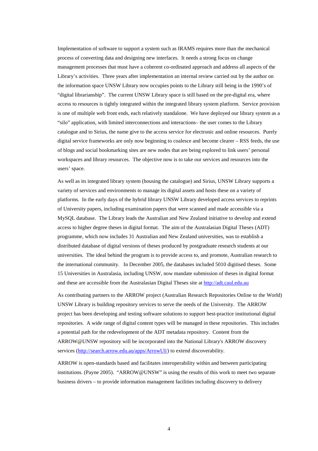Implementation of software to support a system such as IRAMS requires more than the mechanical process of converting data and designing new interfaces. It needs a strong focus on change management processes that must have a coherent co-ordinated approach and address all aspects of the Library's activities. Three years after implementation an internal review carried out by the author on the information space UNSW Library now occupies points to the Library still being in the 1990's of "digital librarianship". The current UNSW Library space is still based on the pre-digital era, where access to resources is tightly integrated within the integrated library system platform. Service provision is one of multiple web front ends, each relatively standalone. We have deployed our library system as a "silo" application, with limited interconnections and interactions– the user comes to the Library catalogue and to Sirius, the name give to the access service for electronic and online resources. Purely digital service frameworks are only now beginning to coalesce and become clearer – RSS feeds, the use of blogs and social bookmarking sites are new nodes that are being explored to link users' personal workspaces and library resources. The objective now is to take our services and resources into the users' space.

As well as its integrated library system (housing the catalogue) and Sirius, UNSW Library supports a variety of services and environments to manage its digital assets and hosts these on a variety of platforms. In the early days of the hybrid library UNSW Library developed access services to reprints of University papers, including examination papers that were scanned and made accessible via a MySQL database. The Library leads the Australian and New Zealand initiative to develop and extend access to higher degree theses in digital format. The aim of the Australasian Digital Theses (ADT) programme, which now includes 31 Australian and New Zealand universities, was to establish a distributed database of digital versions of theses produced by postgraduate research students at our universities. The ideal behind the program is to provide access to, and promote, Australian research to the international community. In December 2005, the databases included 5010 digitised theses. Some 15 Universities in Australasia, including UNSW, now mandate submission of theses in digital format and these are accessible from the Australasian Digital Theses site at http://adt.caul.edu.au

As contributing partners to the ARROW project (Australian Research Repositories Online to the World) UNSW Library is building repository services to serve the needs of the University. The ARROW project has been developing and testing software solutions to support best-practice institutional digital repositories. A wide range of digital content types will be managed in these repositories. This includes a potential path for the redevelopment of the ADT metadata repository. Content from the ARROW@UNSW repository will be incorporated into the National Library's ARROW discovery services (http://search.arrow.edu.au/apps/ArrowUI/) to extend discoverability.

ARROW is open-standards based and facilitates interoperability within and between participating institutions. (Payne 2005). "ARROW@UNSW" is using the results of this work to meet two separate business drivers – to provide information management facilities including discovery to delivery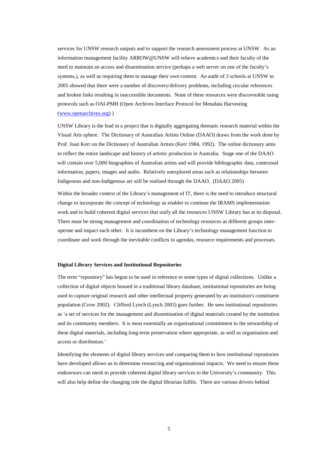services for UNSW research outputs and to support the research assessment process at UNSW. As an information management facility ARROW@UNSW will relieve academics and their faculty of the need to maintain an access and dissemination service (perhaps a web server on one of the faculty's systems.), as well as requiring them to manage their own content. An audit of 3 schools at UNSW in 2005 showed that there were a number of discovery/delivery problems, including circular references and broken links resulting in inaccessible documents. None of these resources were discoverable using protocols such as OAI-PMH (Open Archives Interface Protocol for Metadata Harvesting (www.openarchives.org) )

UNSW Library is the lead in a project that is digitally aggregating thematic research material within the Visual Arts sphere. The Dictionary of Australian Artists Online (DAAO) draws from the work done by Prof. Joan Kerr on the Dictionary of Australian Artists (Kerr 1984, 1992). The online dictionary aims to reflect the entire landscape and history of artistic production in Australia. Stage one of the DAAO will contain over 5,000 biographies of Australian artists and will provide bibliographic data, contextual information, papers, images and audio. Relatively unexplored areas such as relationships between Indigenous and non-Indigenous art will be realised through the DAAO. (DAAO 2005)

Within the broader context of the Library's management of IT, there is the need to introduce structural change to incorporate the concept of technology as enabler to continue the IRAMS implementation work and to build coherent digital services that unify all the resources UNSW Library has at its disposal. There must be strong management and coordination of technology resources as different groups interoperate and impact each other. It is incumbent on the Library's technology management function to coordinate and work through the inevitable conflicts in agendas, resource requirements and processes.

#### **Digital Library Services and Institutional Repositories**

The term "repository" has begun to be used in reference to some types of digital collections. Unlike a collection of digital objects housed in a traditional library database, institutional repositories are being used to capture original research and other intellectual property generated by an institution's constituent population (Crow 2002). Clifford Lynch (Lynch 2003) goes further. He sees institutional repositories as 'a set of services for the management and dissemination of digital materials created by the institution and its community members. It is most essentially an organisational commitment to the stewardship of these digital materials, including long-term preservation where appropriate, as well as organisation and access or distribution.'

Identifying the elements of digital library services and comparing them to how institutional repositories have developed allows us to determine resourcing and organisational impacts. We need to ensure these endeavours can mesh to provide coherent digital library services to the University's community. This will also help define the changing role the digital librarian fulfils. There are various drivers behind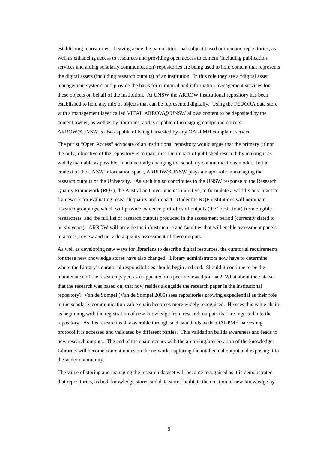establishing repositories. Leaving aside the pan institutional subject based or thematic repositories, as well as enhancing access to resources and providing open access to content (including publication services and aiding scholarly communication) repositories are being used to hold content that represents the digital assets (including research outputs) of an institution. In this role they are a "digital asset management system" and provide the basis for curatorial and information management services for these objects on behalf of the institution. At UNSW the ARROW institutional repository has been established to hold any mix of objects that can be represented digitally. Using the FEDORA data store with a management layer called VITAL ARROW@ UNSW allows content to be deposited by the content owner, as well as by librarians, and is capable of managing compound objects. ARROW@UNSW is also capable of being harvested by any OAI-PMH complaint service.

The purist "Open Access" advocate of an institutional repository would argue that the primary (if not the only) objective of the repository is to maximise the impact of published research by making it as widely available as possible, fundamentally changing the scholarly communications model. In the context of the UNSW information space, ARROW@UNSW plays a major role in managing the research outputs of the University. As such it also contributes to the UNSW response to the Research Quality Framework (RQF), the Australian Government's initiative, to formulate a world's best practice framework for evaluating research quality and impact. Under the RQF institutions will nominate research groupings, which will provide evidence portfolios of outputs (the "best" four) from eligible researchers, and the full list of research outputs produced in the assessment period (currently slated to be six years). ARROW will provide the infrastructure and faculties that will enable assessment panels to access, review and provide a quality assessment of these outputs.

As well as developing new ways for librarians to describe digital resources, the curatorial requirements for these new knowledge stores have also changed. Library administrators now have to determine where the Library's curatorial responsibilities should begin and end. Should it continue to be the maintenance of the research paper, as it appeared in a peer reviewed journal? What about the data set that the research was based on, that now resides alongside the research paper in the institutional repository? Van de Sompel (Van de Sompel 2005) sees repositories growing expediential as their role in the scholarly communication value chain becomes more widely recognised. He sees this value chain as beginning with the registration of new knowledge from research outputs that are ingested into the repository. As this research is discoverable through such standards as the OAI-PMH harvesting protocol it is accessed and validated by different parties. This validation builds awareness and leads to new research outputs. The end of the chain occurs with the archiving/preservation of the knowledge. Libraries will become content nodes on the network, capturing the intellectual output and exposing it to the wider community.

The value of storing and managing the research dataset will become recognised as it is demonstrated that repositories, as both knowledge stores and data store, facilitate the creation of new knowledge by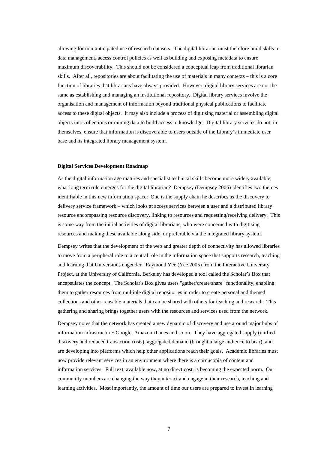allowing for non-anticipated use of research datasets. The digital librarian must therefore build skills in data management, access control policies as well as building and exposing metadata to ensure maximum discoverability. This should not be considered a conceptual leap from traditional librarian skills. After all, repositories are about facilitating the use of materials in many contexts – this is a core function of libraries that librarians have always provided. However, digital library services are not the same as establishing and managing an institutional repository. Digital library services involve the organisation and management of information beyond traditional physical publications to facilitate access to these digital objects. It may also include a process of digitising material or assembling digital objects into collections or mining data to build access to knowledge. Digital library services do not, in themselves, ensure that information is discoverable to users outside of the Library's immediate user base and its integrated library management system.

#### **Digital Services Development Roadmap**

As the digital information age matures and specialist technical skills become more widely available, what long term role emerges for the digital librarian? Dempsey (Dempsey 2006) identifies two themes identifiable in this new information space: One is the supply chain he describes as the discovery to delivery service framework – which looks at access services between a user and a distributed library resource encompassing resource discovery, linking to resources and requesting/receiving delivery. This is some way from the initial activities of digital librarians, who were concerned with digitising resources and making these available along side, or preferable via the integrated library system.

Dempsey writes that the development of the web and greater depth of connectivity has allowed libraries to move from a peripheral role to a central role in the information space that supports research, teaching and learning that Universities engender. Raymond Yee (Yee 2005) from the Interactive University Project, at the University of California, Berkeley has developed a tool called the Scholar's Box that encapsulates the concept. The Scholar's Box gives users "gather/create/share" functionality, enabling them to gather resources from multiple digital repositories in order to create personal and themed collections and other reusable materials that can be shared with others for teaching and research. This gathering and sharing brings together users with the resources and services used from the network.

Dempsey notes that the network has created a new dynamic of discovery and use around major hubs of information infrastructure: Google, Amazon iTunes and so on. They have aggregated supply (unified discovery and reduced transaction costs), aggregated demand (brought a large audience to bear), and are developing into platforms which help other applications reach their goals. Academic libraries must now provide relevant services in an environment where there is a cornucopia of content and information services. Full text, available now, at no direct cost, is becoming the expected norm. Our community members are changing the way they interact and engage in their research, teaching and learning activities. Most importantly, the amount of time our users are prepared to invest in learning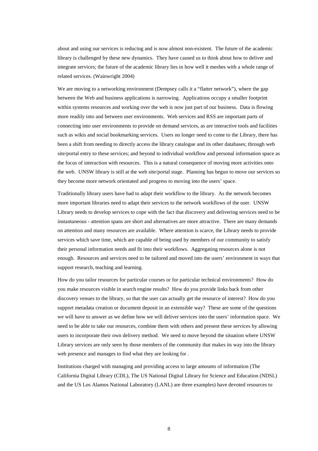about and using our services is reducing and is now almost non-existent. The future of the academic library is challenged by these new dynamics. They have caused us to think about how to deliver and integrate services; the future of the academic library lies in how well it meshes with a whole range of related services. (Wainwright 2004)

We are moving to a networking environment (Dempsey calls it a "flatter network"), where the gap between the Web and business applications is narrowing. Applications occupy a smaller footprint within systems resources and working over the web is now just part of our business. Data is flowing more readily into and between user environments. Web services and RSS are important parts of connecting into user environments to provide on demand services, as are interactive tools and facilities such as wikis and social bookmarking services. Users no longer need to come to the Library, there has been a shift from needing to directly access the library catalogue and its other databases; through web site/portal entry to these services; and beyond to individual workflow and personal information space as the focus of interaction with resources. This is a natural consequence of moving more activities onto the web. UNSW library is still at the web site/portal stage. Planning has begun to move our services so they become more network orientated and progress to moving into the users' space.

Traditionally library users have had to adapt their workflow to the library. As the network becomes more important libraries need to adapt their services to the network workflows of the user. UNSW Library needs to develop services to cope with the fact that discovery and delivering services need to be instantaneous - attention spans are short and alternatives are more attractive. There are many demands on attention and many resources are available. Where attention is scarce, the Library needs to provide services which save time, which are capable of being used by members of our community to satisfy their personal information needs and fit into their workflows. Aggregating resources alone is not enough. Resources and services need to be tailored and moved into the users' environment in ways that support research, teaching and learning.

How do you tailor resources for particular courses or for particular technical environments? How do you make resources visible in search engine results? How do you provide links back from other discovery venues to the library, so that the user can actually get the resource of interest? How do you support metadata creation or document deposit in an extensible way? These are some of the questions we will have to answer as we define how we will deliver services into the users' information space. We need to be able to take our resources, combine them with others and present these services by allowing users to incorporate their own delivery method. We need to move beyond the situation where UNSW Library services are only seen by those members of the community that makes its way into the library web presence and manages to find what they are looking for .

Institutions charged with managing and providing access to large amounts of information (The California Digital Library (CDL), The US National Digital Library for Science and Education (NDSL) and the US Los Alamos National Laboratory (LANL) are three examples) have devoted resources to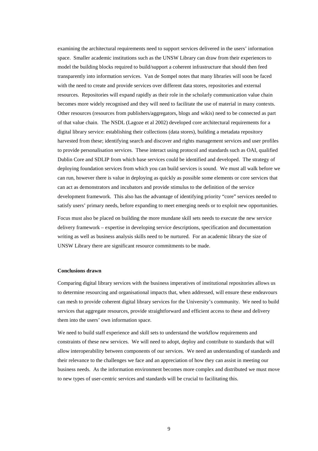examining the architectural requirements need to support services delivered in the users' information space. Smaller academic institutions such as the UNSW Library can draw from their experiences to model the building blocks required to build/support a coherent infrastructure that should then feed transparently into information services. Van de Sompel notes that many libraries will soon be faced with the need to create and provide services over different data stores, repositories and external resources. Repositories will expand rapidly as their role in the scholarly communication value chain becomes more widely recognised and they will need to facilitate the use of material in many contexts. Other resources (resources from publishers/aggregators, blogs and wikis) need to be connected as part of that value chain. The NSDL (Lagoze et al 2002) developed core architectural requirements for a digital library service: establishing their collections (data stores), building a metadata repository harvested from these; identifying search and discover and rights management services and user profiles to provide personalisation services. These interact using protocol and standards such as OAI, qualified Dublin Core and SDLIP from which base services could be identified and developed. The strategy of deploying foundation services from which you can build services is sound. We must all walk before we can run, however there is value in deploying as quickly as possible some elements or core services that can act as demonstrators and incubators and provide stimulus to the definition of the service development framework. This also has the advantage of identifying priority "core" services needed to satisfy users' primary needs, before expanding to meet emerging needs or to exploit new opportunities.

Focus must also be placed on building the more mundane skill sets needs to execute the new service delivery framework – expertise in developing service descriptions, specification and documentation writing as well as business analysis skills need to be nurtured. For an academic library the size of UNSW Library there are significant resource commitments to be made.

#### **Conclusions drawn**

Comparing digital library services with the business imperatives of institutional repositories allows us to determine resourcing and organisational impacts that, when addressed, will ensure these endeavours can mesh to provide coherent digital library services for the University's community. We need to build services that aggregate resources, provide straightforward and efficient access to these and delivery them into the users' own information space.

We need to build staff experience and skill sets to understand the workflow requirements and constraints of these new services. We will need to adopt, deploy and contribute to standards that will allow interoperability between components of our services. We need an understanding of standards and their relevance to the challenges we face and an appreciation of how they can assist in meeting our business needs. As the information environment becomes more complex and distributed we must move to new types of user-centric services and standards will be crucial to facilitating this.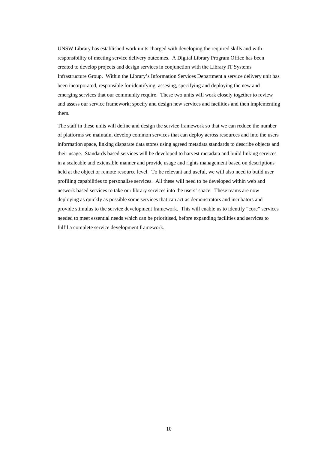UNSW Library has established work units charged with developing the required skills and with responsibility of meeting service delivery outcomes. A Digital Library Program Office has been created to develop projects and design services in conjunction with the Library IT Systems Infrastructure Group. Within the Library's Information Services Department a service delivery unit has been incorporated, responsible for identifying, assesing, specifying and deploying the new and emerging services that our community require. These two units will work closely together to review and assess our service framework; specify and design new services and facilities and then implementing them.

The staff in these units will define and design the service framework so that we can reduce the number of platforms we maintain, develop common services that can deploy across resources and into the users information space, linking disparate data stores using agreed metadata standards to describe objects and their usage. Standards based services will be developed to harvest metadata and build linking services in a scaleable and extensible manner and provide usage and rights management based on descriptions held at the object or remote resource level. To be relevant and useful, we will also need to build user profiling capabilities to personalise services. All these will need to be developed within web and network based services to take our library services into the users' space. These teams are now deploying as quickly as possible some services that can act as demonstrators and incubators and provide stimulus to the service development framework. This will enable us to identify "core" services needed to meet essential needs which can be prioritised, before expanding facilities and services to fulfil a complete service development framework.